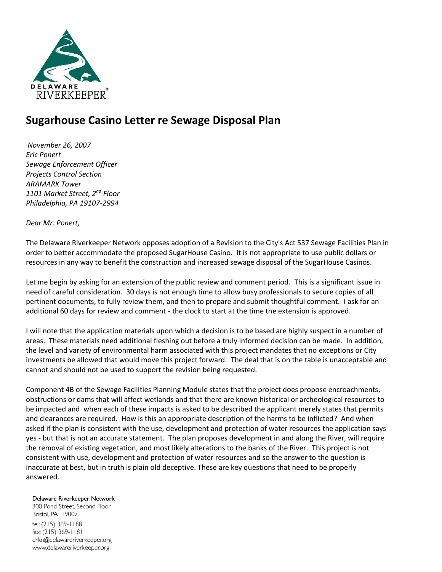

## **Sugarhouse Casino Letter re Sewage Disposal Plan**

*November 26, 2007 Eric Ponert Sewage Enforcement Officer Projects Control Section ARAMARK Tower 1101 Market Street, 2nd Floor Philadelphia, PA 19107-2994*

*Dear Mr. Ponert,*

The Delaware Riverkeeper Network opposes adoption of a Revision to the City's Act 537 Sewage Facilities Plan in order to better accommodate the proposed SugarHouse Casino. It is not appropriate to use public dollars or resources in any way to benefit the construction and increased sewage disposal of the SugarHouse Casinos.

Let me begin by asking for an extension of the public review and comment period. This is a significant issue in need of careful consideration. 30 days is not enough time to allow busy professionals to secure copies of all pertinent documents, to fully review them, and then to prepare and submit thoughtful comment. I ask for an additional 60 days for review and comment - the clock to start at the time the extension is approved.

I will note that the application materials upon which a decision is to be based are highly suspect in a number of areas. These materials need additional fleshing out before a truly informed decision can be made. In addition, the level and variety of environmental harm associated with this project mandates that no exceptions or City investments be allowed that would move this project forward. The deal that is on the table is unacceptable and cannot and should not be used to support the revision being requested.

Component 4B of the Sewage Facilities Planning Module states that the project does propose encroachments, obstructions or dams that will affect wetlands and that there are known historical or archeological resources to be impacted and when each of these impacts is asked to be described the applicant merely states that permits and clearances are required. How is this an appropriate description of the harms to be inflicted? And when asked if the plan is consistent with the use, development and protection of water resources the application says yes - but that is not an accurate statement. The plan proposes development in and along the River, will require the removal of existing vegetation, and most likely alterations to the banks of the River. This project is not consistent with use, development and protection of water resources and so the answer to the question is inaccurate at best, but in truth is plain old deceptive. These are key questions that need to be properly answered.

Delaware Riverkeeper Network

300 Pond Street, Second Floor Bristol, PA 19007 tel: (215) 369-1188 fax: (215) 369-1181 drkn@delawareriverkeeper.org www.delawareriverkeeper.org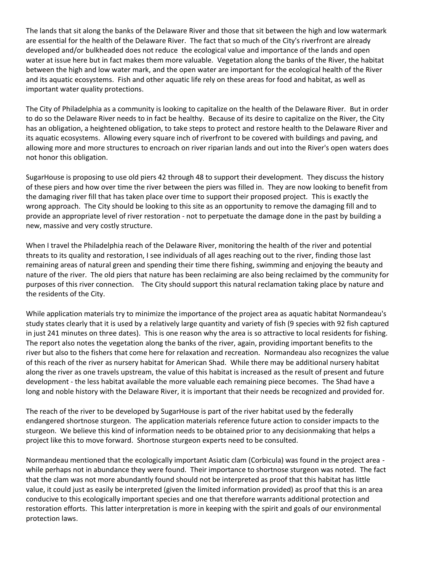The lands that sit along the banks of the Delaware River and those that sit between the high and low watermark are essential for the health of the Delaware River. The fact that so much of the City's riverfront are already developed and/or bulkheaded does not reduce the ecological value and importance of the lands and open water at issue here but in fact makes them more valuable. Vegetation along the banks of the River, the habitat between the high and low water mark, and the open water are important for the ecological health of the River and its aquatic ecosystems. Fish and other aquatic life rely on these areas for food and habitat, as well as important water quality protections.

The City of Philadelphia as a community is looking to capitalize on the health of the Delaware River. But in order to do so the Delaware River needs to in fact be healthy. Because of its desire to capitalize on the River, the City has an obligation, a heightened obligation, to take steps to protect and restore health to the Delaware River and its aquatic ecosystems. Allowing every square inch of riverfront to be covered with buildings and paving, and allowing more and more structures to encroach on river riparian lands and out into the River's open waters does not honor this obligation.

SugarHouse is proposing to use old piers 42 through 48 to support their development. They discuss the history of these piers and how over time the river between the piers was filled in. They are now looking to benefit from the damaging river fill that has taken place over time to support their proposed project. This is exactly the wrong approach. The City should be looking to this site as an opportunity to remove the damaging fill and to provide an appropriate level of river restoration - not to perpetuate the damage done in the past by building a new, massive and very costly structure.

When I travel the Philadelphia reach of the Delaware River, monitoring the health of the river and potential threats to its quality and restoration, I see individuals of all ages reaching out to the river, finding those last remaining areas of natural green and spending their time there fishing, swimming and enjoying the beauty and nature of the river. The old piers that nature has been reclaiming are also being reclaimed by the community for purposes of this river connection. The City should support this natural reclamation taking place by nature and the residents of the City.

While application materials try to minimize the importance of the project area as aquatic habitat Normandeau's study states clearly that it is used by a relatively large quantity and variety of fish (9 species with 92 fish captured in just 241 minutes on three dates). This is one reason why the area is so attractive to local residents for fishing. The report also notes the vegetation along the banks of the river, again, providing important benefits to the river but also to the fishers that come here for relaxation and recreation. Normandeau also recognizes the value of this reach of the river as nursery habitat for American Shad. While there may be additional nursery habitat along the river as one travels upstream, the value of this habitat is increased as the result of present and future development - the less habitat available the more valuable each remaining piece becomes. The Shad have a long and noble history with the Delaware River, it is important that their needs be recognized and provided for.

The reach of the river to be developed by SugarHouse is part of the river habitat used by the federally endangered shortnose sturgeon. The application materials reference future action to consider impacts to the sturgeon. We believe this kind of information needs to be obtained prior to any decisionmaking that helps a project like this to move forward. Shortnose sturgeon experts need to be consulted.

Normandeau mentioned that the ecologically important Asiatic clam (Corbicula) was found in the project area while perhaps not in abundance they were found. Their importance to shortnose sturgeon was noted. The fact that the clam was not more abundantly found should not be interpreted as proof that this habitat has little value, it could just as easily be interpreted (given the limited information provided) as proof that this is an area conducive to this ecologically important species and one that therefore warrants additional protection and restoration efforts. This latter interpretation is more in keeping with the spirit and goals of our environmental protection laws.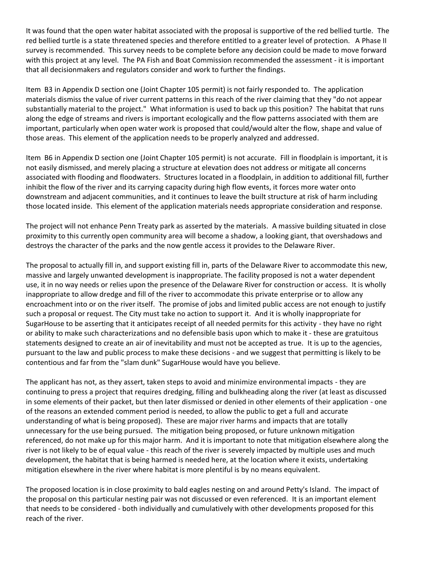It was found that the open water habitat associated with the proposal is supportive of the red bellied turtle. The red bellied turtle is a state threatened species and therefore entitled to a greater level of protection. A Phase II survey is recommended. This survey needs to be complete before any decision could be made to move forward with this project at any level. The PA Fish and Boat Commission recommended the assessment - it is important that all decisionmakers and regulators consider and work to further the findings.

Item B3 in Appendix D section one (Joint Chapter 105 permit) is not fairly responded to. The application materials dismiss the value of river current patterns in this reach of the river claiming that they "do not appear substantially material to the project." What information is used to back up this position? The habitat that runs along the edge of streams and rivers is important ecologically and the flow patterns associated with them are important, particularly when open water work is proposed that could/would alter the flow, shape and value of those areas. This element of the application needs to be properly analyzed and addressed.

Item B6 in Appendix D section one (Joint Chapter 105 permit) is not accurate. Fill in floodplain is important, it is not easily dismissed, and merely placing a structure at elevation does not address or mitigate all concerns associated with flooding and floodwaters. Structures located in a floodplain, in addition to additional fill, further inhibit the flow of the river and its carrying capacity during high flow events, it forces more water onto downstream and adjacent communities, and it continues to leave the built structure at risk of harm including those located inside. This element of the application materials needs appropriate consideration and response.

The project will not enhance Penn Treaty park as asserted by the materials. A massive building situated in close proximity to this currently open community area will become a shadow, a looking giant, that overshadows and destroys the character of the parks and the now gentle access it provides to the Delaware River.

The proposal to actually fill in, and support existing fill in, parts of the Delaware River to accommodate this new, massive and largely unwanted development is inappropriate. The facility proposed is not a water dependent use, it in no way needs or relies upon the presence of the Delaware River for construction or access. It is wholly inappropriate to allow dredge and fill of the river to accommodate this private enterprise or to allow any encroachment into or on the river itself. The promise of jobs and limited public access are not enough to justify such a proposal or request. The City must take no action to support it. And it is wholly inappropriate for SugarHouse to be asserting that it anticipates receipt of all needed permits for this activity - they have no right or ability to make such characterizations and no defensible basis upon which to make it - these are gratuitous statements designed to create an air of inevitability and must not be accepted as true. It is up to the agencies, pursuant to the law and public process to make these decisions - and we suggest that permitting is likely to be contentious and far from the "slam dunk" SugarHouse would have you believe.

The applicant has not, as they assert, taken steps to avoid and minimize environmental impacts - they are continuing to press a project that requires dredging, filling and bulkheading along the river (at least as discussed in some elements of their packet, but then later dismissed or denied in other elements of their application - one of the reasons an extended comment period is needed, to allow the public to get a full and accurate understanding of what is being proposed). These are major river harms and impacts that are totally unnecessary for the use being pursued. The mitigation being proposed, or future unknown mitigation referenced, do not make up for this major harm. And it is important to note that mitigation elsewhere along the river is not likely to be of equal value - this reach of the river is severely impacted by multiple uses and much development, the habitat that is being harmed is needed here, at the location where it exists, undertaking mitigation elsewhere in the river where habitat is more plentiful is by no means equivalent.

The proposed location is in close proximity to bald eagles nesting on and around Petty's Island. The impact of the proposal on this particular nesting pair was not discussed or even referenced. It is an important element that needs to be considered - both individually and cumulatively with other developments proposed for this reach of the river.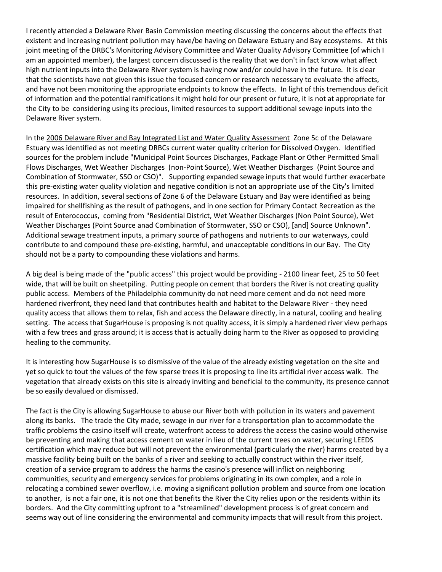I recently attended a Delaware River Basin Commission meeting discussing the concerns about the effects that existent and increasing nutrient pollution may have/be having on Delaware Estuary and Bay ecosystems. At this joint meeting of the DRBC's Monitoring Advisory Committee and Water Quality Advisory Committee (of which I am an appointed member), the largest concern discussed is the reality that we don't in fact know what affect high nutrient inputs into the Delaware River system is having now and/or could have in the future. It is clear that the scientists have not given this issue the focused concern or research necessary to evaluate the affects, and have not been monitoring the appropriate endpoints to know the effects. In light of this tremendous deficit of information and the potential ramifications it might hold for our present or future, it is not at appropriate for the City to be considering using its precious, limited resources to support additional sewage inputs into the Delaware River system.

In the 2006 Delaware River and Bay Integrated List and Water Quality Assessment Zone 5c of the Delaware Estuary was identified as not meeting DRBCs current water quality criterion for Dissolved Oxygen. Identified sources for the problem include "Municipal Point Sources Discharges, Package Plant or Other Permitted Small Flows Discharges, Wet Weather Discharges (non-Point Source), Wet Weather Discharges (Point Source and Combination of Stormwater, SSO or CSO)". Supporting expanded sewage inputs that would further exacerbate this pre-existing water quality violation and negative condition is not an appropriate use of the City's limited resources. In addition, several sections of Zone 6 of the Delaware Estuary and Bay were identified as being impaired for shellfishing as the result of pathogens, and in one section for Primary Contact Recreation as the result of Enterococcus, coming from "Residential District, Wet Weather Discharges (Non Point Source), Wet Weather Discharges (Point Source anad Combination of Stormwater, SSO or CSO), [and] Source Unknown". Additional sewage treatment inputs, a primary source of pathogens and nutrients to our waterways, could contribute to and compound these pre-existing, harmful, and unacceptable conditions in our Bay. The City should not be a party to compounding these violations and harms.

A big deal is being made of the "public access" this project would be providing - 2100 linear feet, 25 to 50 feet wide, that will be built on sheetpiling. Putting people on cement that borders the River is not creating quality public access. Members of the Philadelphia community do not need more cement and do not need more hardened riverfront, they need land that contributes health and habitat to the Delaware River - they need quality access that allows them to relax, fish and access the Delaware directly, in a natural, cooling and healing setting. The access that SugarHouse is proposing is not quality access, it is simply a hardened river view perhaps with a few trees and grass around; it is access that is actually doing harm to the River as opposed to providing healing to the community.

It is interesting how SugarHouse is so dismissive of the value of the already existing vegetation on the site and yet so quick to tout the values of the few sparse trees it is proposing to line its artificial river access walk. The vegetation that already exists on this site is already inviting and beneficial to the community, its presence cannot be so easily devalued or dismissed.

The fact is the City is allowing SugarHouse to abuse our River both with pollution in its waters and pavement along its banks. The trade the City made, sewage in our river for a transportation plan to accommodate the traffic problems the casino itself will create, waterfront access to address the access the casino would otherwise be preventing and making that access cement on water in lieu of the current trees on water, securing LEEDS certification which may reduce but will not prevent the environmental (particularly the river) harms created by a massive facility being built on the banks of a river and seeking to actually construct within the river itself, creation of a service program to address the harms the casino's presence will inflict on neighboring communities, security and emergency services for problems originating in its own complex, and a role in relocating a combined sewer overflow, i.e. moving a significant pollution problem and source from one location to another, is not a fair one, it is not one that benefits the River the City relies upon or the residents within its borders. And the City committing upfront to a "streamlined" development process is of great concern and seems way out of line considering the environmental and community impacts that will result from this project.